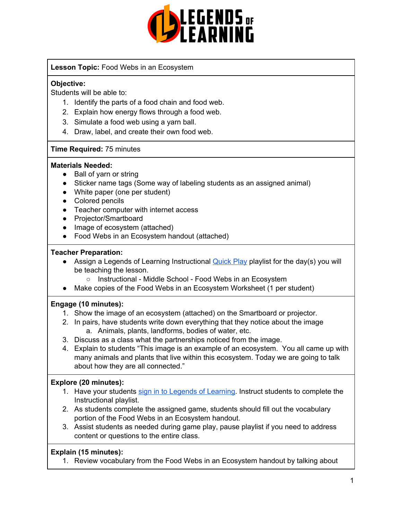

## **Lesson Topic:** Food Webs in an Ecosystem

## **Objective:**

Students will be able to:

- 1. Identify the parts of a food chain and food web.
- 2. Explain how energy flows through a food web.
- 3. Simulate a food web using a yarn ball.
- 4. Draw, label, and create their own food web.

#### **Time Required:** 75 minutes

#### **Materials Needed:**

- Ball of varn or string
- Sticker name tags (Some way of labeling students as an assigned animal)
- White paper (one per student)
- Colored pencils
- Teacher computer with internet access
- Projector/Smartboard
- Image of ecosystem (attached)
- Food Webs in an Ecosystem handout (attached)

#### **Teacher Preparation:**

- Assign a Legends of Learning Instructional **[Quick](https://intercom.help/legends-of-learning/en/articles/2701866-assigning-a-quick-play-playlist) Play playlist for the day(s)** you will be teaching the lesson.
	- Instructional Middle School Food Webs in an Ecosystem
- Make copies of the Food Webs in an Ecosystem Worksheet (1 per student)

#### **Engage (10 minutes):**

- 1. Show the image of an ecosystem (attached) on the Smartboard or projector.
- 2. In pairs, have students write down everything that they notice about the image a. Animals, plants, landforms, bodies of water, etc.
- 3. Discuss as a class what the partnerships noticed from the image.
- 4. Explain to students "This image is an example of an ecosystem. You all came up with many animals and plants that live within this ecosystem. Today we are going to talk about how they are all connected."

#### **Explore (20 minutes):**

- 1. Have your students sign in to Legends of [Learning](https://intercom.help/legends-of-learning/en/articles/2154920-students-joining-a-playlist). Instruct students to complete the Instructional playlist.
- 2. As students complete the assigned game, students should fill out the vocabulary portion of the Food Webs in an Ecosystem handout.
- 3. Assist students as needed during game play, pause playlist if you need to address content or questions to the entire class.

# **Explain (15 minutes):**

1. Review vocabulary from the Food Webs in an Ecosystem handout by talking about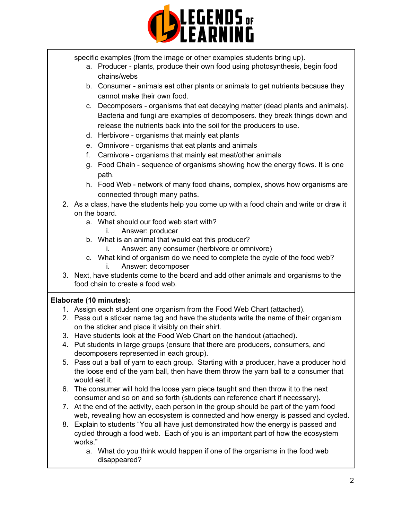

specific examples (from the image or other examples students bring up).

- a. Producer plants, produce their own food using photosynthesis, begin food chains/webs
- b. Consumer animals eat other plants or animals to get nutrients because they cannot make their own food.
- c. Decomposers organisms that eat decaying matter (dead plants and animals). Bacteria and fungi are examples of decomposers. they break things down and release the nutrients back into the soil for the producers to use.
- d. Herbivore organisms that mainly eat plants
- e. Omnivore organisms that eat plants and animals
- f. Carnivore organisms that mainly eat meat/other animals
- g. Food Chain sequence of organisms showing how the energy flows. It is one path.
- h. Food Web network of many food chains, complex, shows how organisms are connected through many paths.
- 2. As a class, have the students help you come up with a food chain and write or draw it on the board.
	- a. What should our food web start with?
		- i. Answer: producer
	- b. What is an animal that would eat this producer?
		- i. Answer: any consumer (herbivore or omnivore)
	- c. What kind of organism do we need to complete the cycle of the food web? i. Answer: decomposer
- 3. Next, have students come to the board and add other animals and organisms to the food chain to create a food web.

# **Elaborate (10 minutes):**

- 1. Assign each student one organism from the Food Web Chart (attached).
- 2. Pass out a sticker name tag and have the students write the name of their organism on the sticker and place it visibly on their shirt.
- 3. Have students look at the Food Web Chart on the handout (attached).
- 4. Put students in large groups (ensure that there are producers, consumers, and decomposers represented in each group).
- 5. Pass out a ball of yarn to each group. Starting with a producer, have a producer hold the loose end of the yarn ball, then have them throw the yarn ball to a consumer that would eat it.
- 6. The consumer will hold the loose yarn piece taught and then throw it to the next consumer and so on and so forth (students can reference chart if necessary).
- 7. At the end of the activity, each person in the group should be part of the yarn food web, revealing how an ecosystem is connected and how energy is passed and cycled.
- 8. Explain to students "You all have just demonstrated how the energy is passed and cycled through a food web. Each of you is an important part of how the ecosystem works."
	- a. What do you think would happen if one of the organisms in the food web disappeared?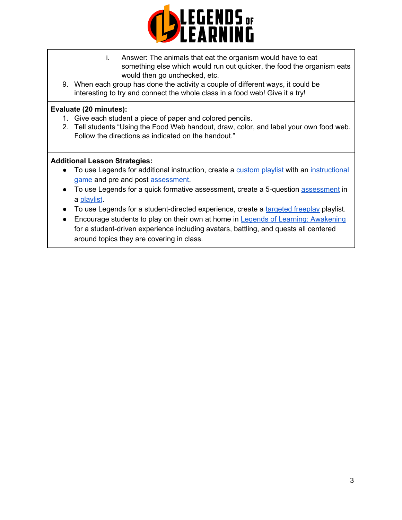

- i. Answer: The animals that eat the organism would have to eat something else which would run out quicker, the food the organism eats would then go unchecked, etc.
- 9. When each group has done the activity a couple of different ways, it could be interesting to try and connect the whole class in a food web! Give it a try!

## **Evaluate (20 minutes):**

- 1. Give each student a piece of paper and colored pencils.
- 2. Tell students "Using the Food Web handout, draw, color, and label your own food web. Follow the directions as indicated on the handout."

## **Additional Lesson Strategies:**

- To use Legends for additional instruction, create a [custom](https://intercom.help/legends-of-learning/en/articles/2154910-creating-a-playlist) playlist with an [instructional](https://intercom.help/legends-of-learning/en/articles/3505828-types-of-games) [game](https://intercom.help/legends-of-learning/en/articles/3505828-types-of-games) and pre and post [assessment](https://intercom.help/legends-of-learning/en/articles/2154913-adding-assessments-to-a-playlist).
- To use Legends for a quick formative [assessment](https://intercom.help/legends-of-learning/en/articles/2154913-adding-assessments-to-a-playlist), create a 5-question assessment in a [playlist](https://intercom.help/legends-of-learning/en/articles/2154910-creating-a-playlist).
- To use Legends for a student-directed experience, create a [targeted](https://intercom.help/legends-of-learning/en/articles/3340814-targeted-freeplay) freeplay playlist.
- Encourage students to play on their own at home in Legends of Learning: [Awakening](https://intercom.help/legends-of-learning/en/articles/2425490-legends-of-learning-awakening) for a student-driven experience including avatars, battling, and quests all centered around topics they are covering in class.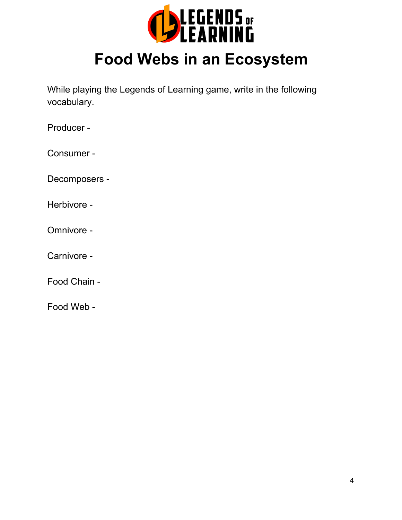

# **Food Webs in an Ecosystem**

While playing the Legends of Learning game, write in the following vocabulary.

Producer -

Consumer -

Decomposers -

Herbivore -

Omnivore -

Carnivore -

Food Chain -

Food Web -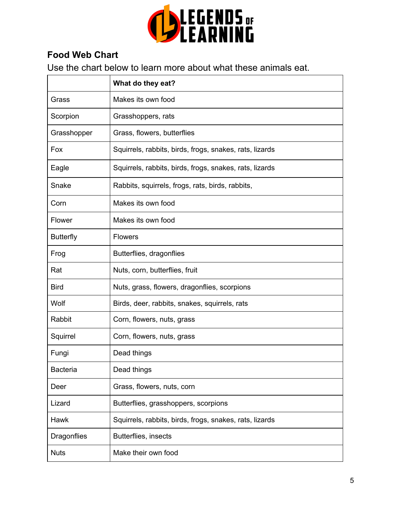

# **Food Web Chart**

Use the chart below to learn more about what these animals eat.

|                  | What do they eat?                                       |
|------------------|---------------------------------------------------------|
| Grass            | Makes its own food                                      |
| Scorpion         | Grasshoppers, rats                                      |
| Grasshopper      | Grass, flowers, butterflies                             |
| Fox              | Squirrels, rabbits, birds, frogs, snakes, rats, lizards |
| Eagle            | Squirrels, rabbits, birds, frogs, snakes, rats, lizards |
| Snake            | Rabbits, squirrels, frogs, rats, birds, rabbits,        |
| Corn             | Makes its own food                                      |
| Flower           | Makes its own food                                      |
| <b>Butterfly</b> | <b>Flowers</b>                                          |
| Frog             | Butterflies, dragonflies                                |
| Rat              | Nuts, corn, butterflies, fruit                          |
| <b>Bird</b>      | Nuts, grass, flowers, dragonflies, scorpions            |
| Wolf             | Birds, deer, rabbits, snakes, squirrels, rats           |
| Rabbit           | Corn, flowers, nuts, grass                              |
| Squirrel         | Corn, flowers, nuts, grass                              |
| Fungi            | Dead things                                             |
| <b>Bacteria</b>  | Dead things                                             |
| Deer             | Grass, flowers, nuts, corn                              |
| Lizard           | Butterflies, grasshoppers, scorpions                    |
| <b>Hawk</b>      | Squirrels, rabbits, birds, frogs, snakes, rats, lizards |
| Dragonflies      | Butterflies, insects                                    |
| <b>Nuts</b>      | Make their own food                                     |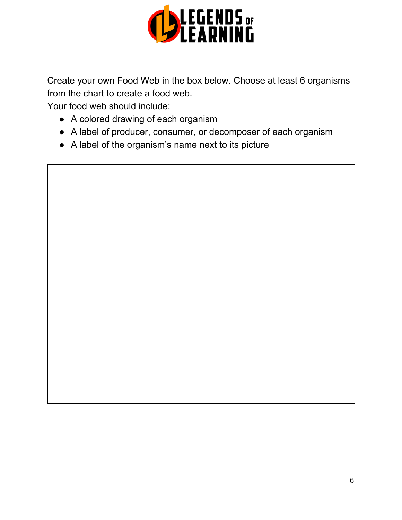

Create your own Food Web in the box below. Choose at least 6 organisms from the chart to create a food web.

Your food web should include:

- A colored drawing of each organism
- A label of producer, consumer, or decomposer of each organism
- A label of the organism's name next to its picture